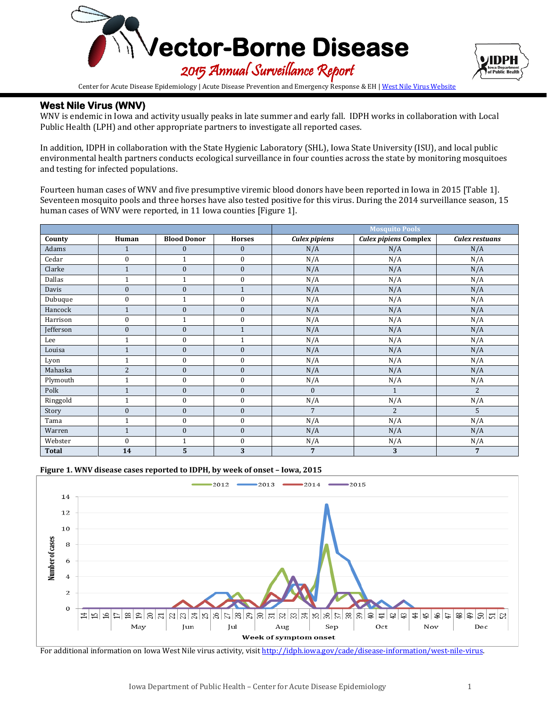



Center for Acute Disease Epidemiology | Acute Disease Prevention and Emergency Response & EH [| West Nile Virus Website](http://idph.iowa.gov/cade/disease-information/west-nile-virus)

## **West Nile Virus (WNV)**

WNV is endemic in Iowa and activity usually peaks in late summer and early fall. IDPH works in collaboration with Local Public Health (LPH) and other appropriate partners to investigate all reported cases.

In addition, IDPH in collaboration with the State Hygienic Laboratory (SHL), Iowa State University (ISU), and local public environmental health partners conducts ecological surveillance in four counties across the state by monitoring mosquitoes and testing for infected populations.

Fourteen human cases of WNV and five presumptive viremic blood donors have been reported in Iowa in 2015 [Table 1]. Seventeen mosquito pools and three horses have also tested positive for this virus. During the 2014 surveillance season, 15 human cases of WNV were reported, in 11 Iowa counties [Figure 1].

|              |                  |                    | <b>Mosquito Pools</b> |                      |                              |                |
|--------------|------------------|--------------------|-----------------------|----------------------|------------------------------|----------------|
| County       | Human            | <b>Blood Donor</b> | <b>Horses</b>         | <b>Culex pipiens</b> | <b>Culex pipiens Complex</b> | Culex restuans |
| Adams        |                  | $\bf{0}$           | $\bf{0}$              | N/A                  | N/A                          | N/A            |
| Cedar        | $\mathbf{0}$     | $\mathbf{1}$       | $\mathbf{0}$          | N/A                  | N/A                          | N/A            |
| Clarke       | $\mathbf{1}$     | $\boldsymbol{0}$   | $\mathbf{0}$          | N/A                  | N/A                          | N/A            |
| Dallas       | 1                | $\mathbf{1}$       | $\bf{0}$              | N/A                  | N/A                          | N/A            |
| Davis        | $\mathbf{0}$     | $\boldsymbol{0}$   | $\mathbf{1}$          | N/A                  | N/A                          | N/A            |
| Dubuque      | $\bf{0}$         | $\mathbf{1}$       | $\mathbf{0}$          | N/A                  | N/A                          | N/A            |
| Hancock      | $\mathbf{1}$     | $\boldsymbol{0}$   | $\boldsymbol{0}$      | N/A                  | N/A                          | N/A            |
| Harrison     | $\theta$         | $\mathbf{1}$       | $\mathbf{0}$          | N/A                  | N/A                          | N/A            |
| Jefferson    | $\boldsymbol{0}$ | $\boldsymbol{0}$   | $\mathbf{1}$          | N/A                  | N/A                          | N/A            |
| Lee          | 1                | $\mathbf{0}$       | $\mathbf{1}$          | N/A                  | N/A                          | N/A            |
| Louisa       | $\mathbf{1}$     | $\mathbf{0}$       | $\mathbf{0}$          | N/A                  | N/A                          | N/A            |
| Lyon         | 1                | $\boldsymbol{0}$   | $\boldsymbol{0}$      | N/A                  | N/A                          | N/A            |
| Mahaska      | $\overline{2}$   | $\boldsymbol{0}$   | $\boldsymbol{0}$      | N/A                  | N/A                          | N/A            |
| Plymouth     | $\mathbf{1}$     | $\boldsymbol{0}$   | $\mathbf{0}$          | N/A                  | N/A                          | N/A            |
| Polk         | $\mathbf{1}$     | $\boldsymbol{0}$   | $\boldsymbol{0}$      | $\mathbf{0}$         | $\mathbf{1}$                 | $\overline{2}$ |
| Ringgold     | 1                | $\boldsymbol{0}$   | $\mathbf{0}$          | N/A                  | N/A                          | N/A            |
| Story        | $\mathbf{0}$     | $\mathbf{0}$       | $\mathbf{0}$          | $\overline{7}$       | $\overline{2}$               | 5              |
| Tama         | $\mathbf{1}$     | $\boldsymbol{0}$   | $\mathbf{0}$          | N/A                  | N/A                          | N/A            |
| Warren       | $\mathbf{1}$     | $\mathbf{0}$       | $\mathbf{0}$          | N/A                  | N/A                          | N/A            |
| Webster      | $\Omega$         | $\mathbf{1}$       | $\boldsymbol{0}$      | N/A                  | N/A                          | N/A            |
| <b>Total</b> | 14               | 5                  | 3                     | 7                    | 3                            | $\overline{7}$ |





For additional information on Iowa West Nile virus activity, visit http://idph.jowa.gov/cade/disease-information/west-nile-virus.